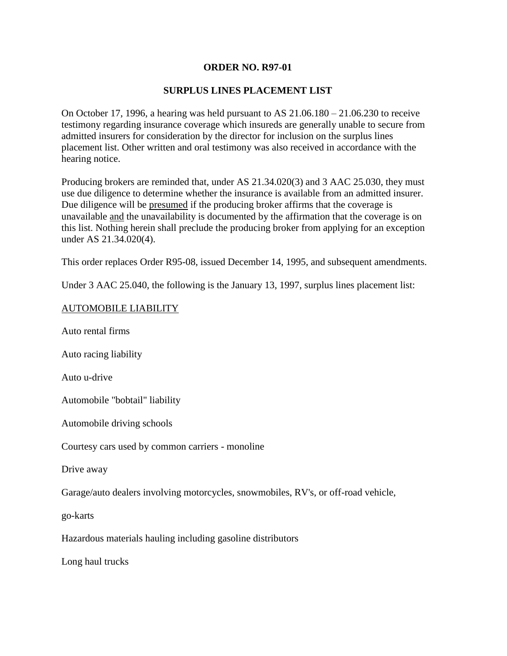# **ORDER NO. R97-01**

# **SURPLUS LINES PLACEMENT LIST**

On October 17, 1996, a hearing was held pursuant to AS 21.06.180 – 21.06.230 to receive testimony regarding insurance coverage which insureds are generally unable to secure from admitted insurers for consideration by the director for inclusion on the surplus lines placement list. Other written and oral testimony was also received in accordance with the hearing notice.

Producing brokers are reminded that, under AS 21.34.020(3) and 3 AAC 25.030, they must use due diligence to determine whether the insurance is available from an admitted insurer. Due diligence will be presumed if the producing broker affirms that the coverage is unavailable and the unavailability is documented by the affirmation that the coverage is on this list. Nothing herein shall preclude the producing broker from applying for an exception under AS 21.34.020(4).

This order replaces Order R95-08, issued December 14, 1995, and subsequent amendments.

Under 3 AAC 25.040, the following is the January 13, 1997, surplus lines placement list:

## AUTOMOBILE LIABILITY

Auto rental firms

Auto racing liability

Auto u-drive

Automobile "bobtail" liability

Automobile driving schools

Courtesy cars used by common carriers - monoline

Drive away

Garage/auto dealers involving motorcycles, snowmobiles, RV's, or off-road vehicle,

go-karts

Hazardous materials hauling including gasoline distributors

Long haul trucks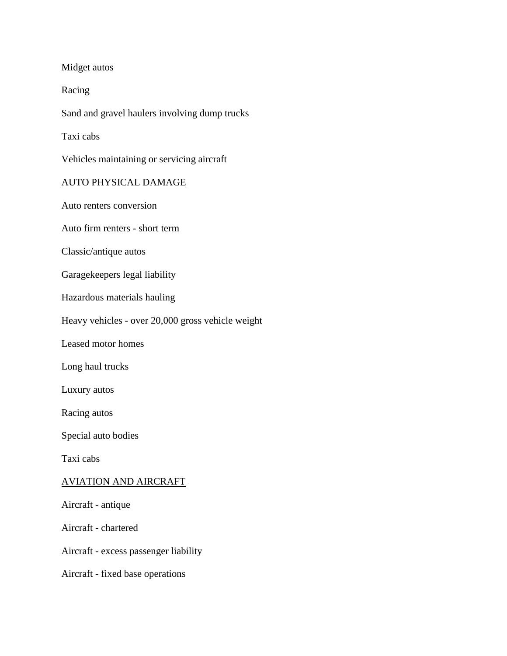Midget autos

Racing

Sand and gravel haulers involving dump trucks

Taxi cabs

Vehicles maintaining or servicing aircraft

## AUTO PHYSICAL DAMAGE

Auto renters conversion

Auto firm renters - short term

Classic/antique autos

Garagekeepers legal liability

Hazardous materials hauling

Heavy vehicles - over 20,000 gross vehicle weight

Leased motor homes

Long haul trucks

Luxury autos

Racing autos

Special auto bodies

Taxi cabs

### AVIATION AND AIRCRAFT

Aircraft - antique

Aircraft - chartered

Aircraft - excess passenger liability

Aircraft - fixed base operations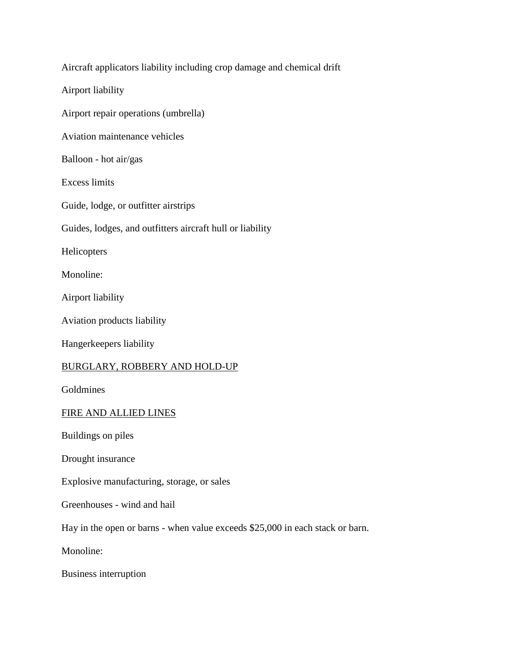| Aircraft applicators liability including crop damage and chemical drift       |
|-------------------------------------------------------------------------------|
| Airport liability                                                             |
| Airport repair operations (umbrella)                                          |
| Aviation maintenance vehicles                                                 |
| Balloon - hot air/gas                                                         |
| <b>Excess limits</b>                                                          |
| Guide, lodge, or outfitter airstrips                                          |
| Guides, lodges, and outfitters aircraft hull or liability                     |
| Helicopters                                                                   |
| Monoline:                                                                     |
| Airport liability                                                             |
| Aviation products liability                                                   |
| Hangerkeepers liability                                                       |
| <b>BURGLARY, ROBBERY AND HOLD-UP</b>                                          |
| Goldmines                                                                     |
| FIRE AND ALLIED LINES                                                         |
| Buildings on piles                                                            |
| Drought insurance                                                             |
| Explosive manufacturing, storage, or sales                                    |
| Greenhouses - wind and hail                                                   |
| Hay in the open or barns - when value exceeds \$25,000 in each stack or barn. |
| Monoline:                                                                     |
| Business interruption                                                         |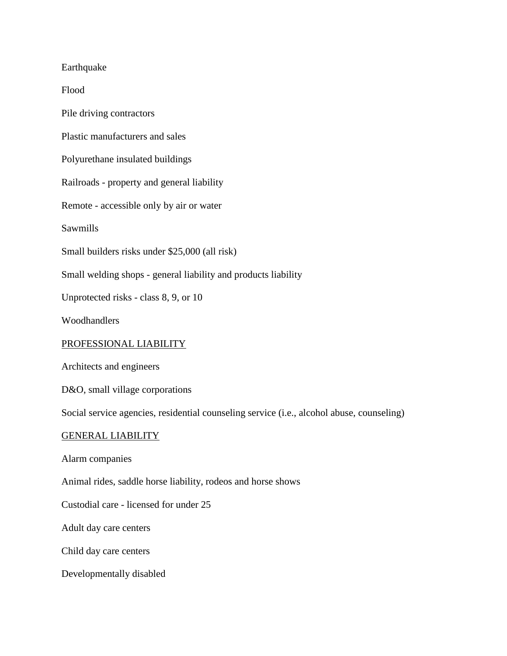Earthquake

Flood

Pile driving contractors

Plastic manufacturers and sales

Polyurethane insulated buildings

Railroads - property and general liability

Remote - accessible only by air or water

Sawmills

Small builders risks under \$25,000 (all risk)

Small welding shops - general liability and products liability

Unprotected risks - class 8, 9, or 10

Woodhandlers

#### PROFESSIONAL LIABILITY

Architects and engineers

D&O, small village corporations

Social service agencies, residential counseling service (i.e., alcohol abuse, counseling)

### GENERAL LIABILITY

Alarm companies

Animal rides, saddle horse liability, rodeos and horse shows

Custodial care - licensed for under 25

Adult day care centers

Child day care centers

Developmentally disabled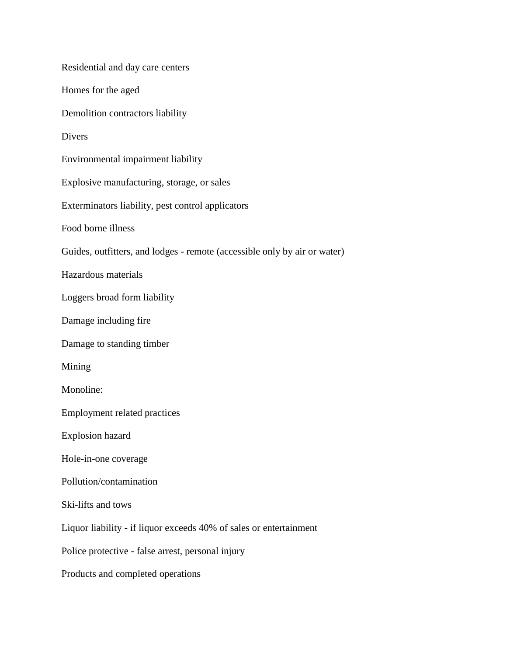Residential and day care centers Homes for the aged Demolition contractors liability Divers Environmental impairment liability Explosive manufacturing, storage, or sales Exterminators liability, pest control applicators Food borne illness Guides, outfitters, and lodges - remote (accessible only by air or water) Hazardous materials Loggers broad form liability Damage including fire Damage to standing timber Mining Monoline: Employment related practices Explosion hazard Hole-in-one coverage Pollution/contamination Ski-lifts and tows Liquor liability - if liquor exceeds 40% of sales or entertainment Police protective - false arrest, personal injury Products and completed operations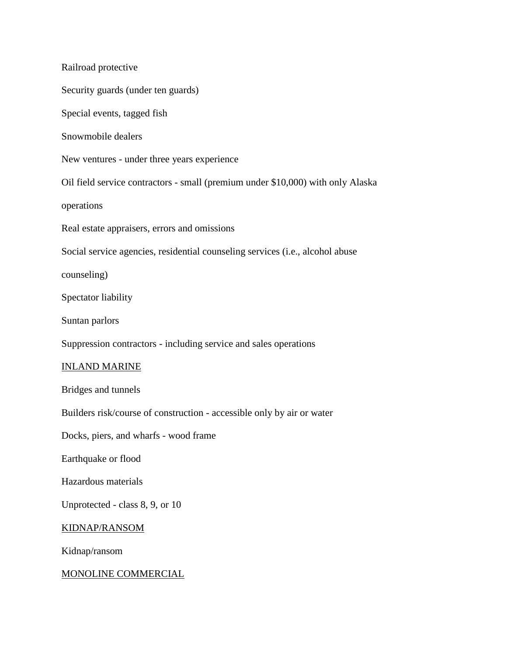Railroad protective Security guards (under ten guards) Special events, tagged fish Snowmobile dealers New ventures - under three years experience Oil field service contractors - small (premium under \$10,000) with only Alaska operations Real estate appraisers, errors and omissions Social service agencies, residential counseling services (i.e., alcohol abuse counseling) Spectator liability Suntan parlors Suppression contractors - including service and sales operations INLAND MARINE Bridges and tunnels Builders risk/course of construction - accessible only by air or water Docks, piers, and wharfs - wood frame Earthquake or flood Hazardous materials Unprotected - class 8, 9, or 10 KIDNAP/RANSOM Kidnap/ransom MONOLINE COMMERCIAL